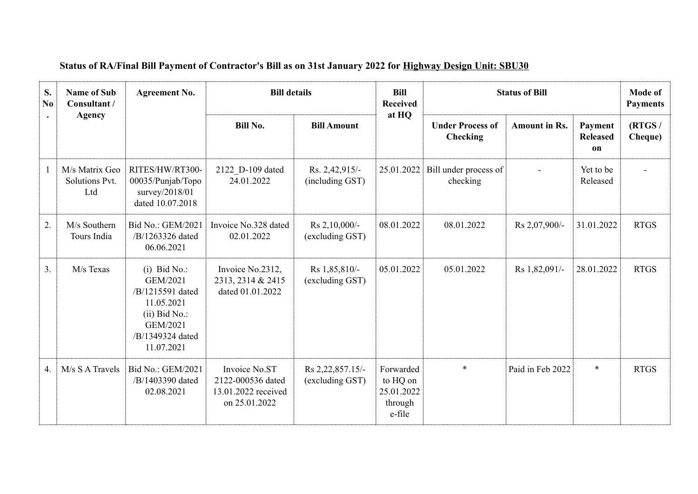| S.<br>No. | <b>Name of Sub</b><br>Consultant /<br><b>Agency</b> | <b>Agreement No.</b>                                                                                                          | <b>Bill details</b>                                                        |                                     | <b>Bill</b><br><b>Received</b>                           | <b>Status of Bill</b>                      | Mode of<br><b>Payments</b> |                                  |                   |
|-----------|-----------------------------------------------------|-------------------------------------------------------------------------------------------------------------------------------|----------------------------------------------------------------------------|-------------------------------------|----------------------------------------------------------|--------------------------------------------|----------------------------|----------------------------------|-------------------|
|           |                                                     |                                                                                                                               | <b>Bill No.</b>                                                            | <b>Bill Amount</b>                  | at HQ                                                    | <b>Under Process of</b><br><b>Checking</b> | <b>Amount in Rs.</b>       | Payment<br><b>Released</b><br>on | (RTGS/<br>Cheque) |
|           | M/s Matrix Geo<br>Solutions Pvt.<br>Ltd             | RITES/HW/RT300-<br>00035/Punjab/Topo<br>survey/2018/01<br>dated 10.07.2018                                                    | 2122 D-109 dated<br>24.01.2022                                             | Rs. 2,42,915/-<br>(including GST)   | 25.01.2022                                               | Bill under process of<br>checking          |                            | Yet to be<br>Released            |                   |
| 2.        | M/s Southern<br>Tours India                         | Bid No.: GEM/2021<br>/B/1263326 dated<br>06.06.2021                                                                           | Invoice No.328 dated<br>02.01.2022                                         | Rs 2,10,000/-<br>(excluding GST)    | 08.01.2022                                               | 08.01.2022                                 | Rs 2,07,900/-              | 31.01.2022                       | <b>RTGS</b>       |
| 3.        | M/s Texas                                           | $(i)$ Bid No.:<br>GEM/2021<br>/B/1215591 dated<br>11.05.2021<br>$(ii)$ Bid No.:<br>GEM/2021<br>/B/1349324 dated<br>11.07.2021 | Invoice No.2312,<br>2313, 2314 & 2415<br>dated 01.01.2022                  | Rs 1,85,810/-<br>(excluding GST)    | 05.01.2022                                               | 05.01.2022                                 | Rs 1,82,091/-              | 28.01.2022                       | <b>RTGS</b>       |
| 4.        | $M/s$ S A Travels                                   | Bid No.: GEM/2021<br>/B/1403390 dated<br>02.08.2021                                                                           | Invoice No.ST<br>2122-000536 dated<br>13.01.2022 received<br>on 25.01.2022 | Rs 2,22,857.15/-<br>(excluding GST) | Forwarded<br>to HQ on<br>25.01.2022<br>through<br>e-file | $\ast$                                     | Paid in Feb 2022           | $\ast$                           | <b>RTGS</b>       |

## **Status of RA/Final Bill Payment of Contractor's Bill as on 31st January 2022 for Highway Design Unit: SBU30**